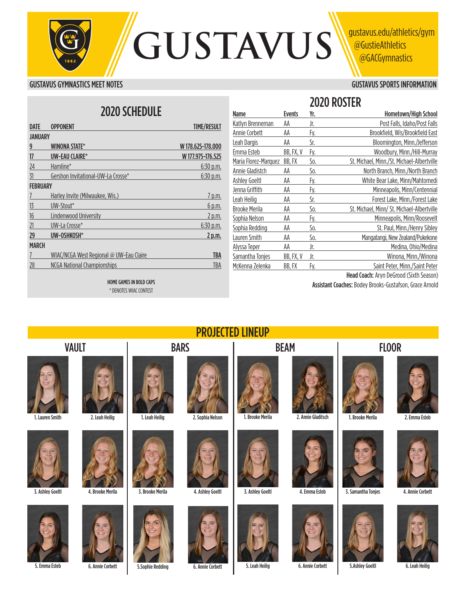

#### GUSTAVUS GYMNASTICS MEET NOTES GUSTAVUS SPORTS INFORMATION

# 2020 SCHEDULE

| DATE            | <b>OPPONENT</b>                         | <b>TIME/RESULT</b> |
|-----------------|-----------------------------------------|--------------------|
| <b>JANUARY</b>  |                                         |                    |
| 9               | <b>WINONA STATE*</b>                    | W178.625-178.000   |
| 17              | UW-EAU CLAIRE*                          | W 177.975-176.525  |
| 24              | Hamline*                                | 6:30 p.m.          |
| 31              | Gershon Invitational-UW-La Crosse*      | $6:30$ p.m.        |
| <b>FEBRUARY</b> |                                         |                    |
| 7               | Harley Invite (Milwaukee, Wis.)         | 7 p.m.             |
| 13              | UW-Stout*                               | <u>6 p.m.</u>      |
| 16              | Lindenwood University                   | 2 p.m.             |
| 21              | UW-La Crosse*                           | $6:30$ p.m.        |
| 29              | UW-OSHKOSH*                             | 2 p.m.             |
| <b>MARCH</b>    |                                         |                    |
| 7               | WIAC/NCGA West Regional @ UW-Eau Claire | <b>TBA</b>         |
| 28              | <b>NCGA National Championships</b>      | TBA                |
|                 |                                         |                    |

|                      |               |     | 2020 ROSTER                                |
|----------------------|---------------|-----|--------------------------------------------|
| <b>Name</b>          | <b>Events</b> | Yr. | Hometown/High School                       |
| Katlyn Brenneman     | AA            | Jr. | Post Falls, Idaho/Post Falls               |
| Annie Corbett        | AA            | Fy. | Brookfield, Wis/Brookfield East            |
| Leah Dargis          | AA            | Sr. | Bloomington, Minn./Jefferson               |
| Emma Esteb           | BB, FX, V     | Fy. | Woodbury, Minn./Hill-Murray                |
| Maria Florez-Marquez | BB.FX         | So. | St. Michael, Minn./St. Michael-Albertville |
| Annie Gladistch      | AA            | So. | North Branch, Minn./North Branch           |
| Ashley Goeltl        | AA            | Fy. | White Bear Lake, Minn/Mahtomedi            |
| Jenna Griffith       | AA            | Fy. | Minneapolis, Minn/Centennial               |
| Leah Heilig          | AA            | Sr. | Forest Lake, Minn./Forest Lake             |
| <b>Brooke Merila</b> | AA            | So. | St. Michael, Minn/ St. Michael-Albertville |
| Sophia Nelson        | AA            | Fy. | Minneapolis, Minn/Roosevelt                |
| Sophia Redding       | AA            | So. | St. Paul, Minn./Henry Sibley               |
| Lauren Smith         | AA            | So. | Mangatangi, New Zealand/Pukekone           |
| Alyssa Teper         | AA            | Jr. | Medina, Ohio/Medina                        |
| Samantha Tonjes      | BB, FX, V     | Jr. | Winona, Minn./Winona                       |
| McKenna Zelenka      | BB, FX        | Fy. | Saint Peter, Minn./Saint Peter             |

HOME GAMES IN BOLD CAPS \* DENOTES WIAC CONTEST

Head Coach: Aryn DeGrood (Sixth Season) Assistant Coaches: Bodey Brooks-Gustafson, Grace Arnold







3. Ashley Goeltl



5. Emma Esteb



4. Brooke Merila





1. Leah Heilig

3. Brooke Merila

6. Annie Corbett 6. Annie Corbett 5.Ashley Goeltl 6. Leah Heilig



PROJECTED LINEUP









1. Brooke Merila 2. Annie Gladitsch



















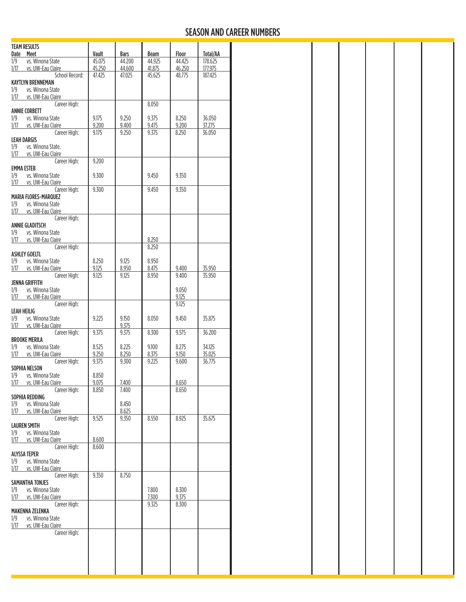## SEASON AND CAREER NUMBERS

| <b>TEAM RESULTS</b>                                  |                 |                       |                |                 |                            |
|------------------------------------------------------|-----------------|-----------------------|----------------|-----------------|----------------------------|
| Date Meet<br>vs. Winona State<br>1/9                 | Vault<br>45.075 | <b>Bars</b><br>44.200 | Beam<br>44.925 | Floor<br>44.425 | <b>Total/AA</b><br>178.625 |
| vs. UW-Eau Claire<br>1/17                            | 45.250          | 44.600                | 41.875         | 46.250          | 177.975                    |
| School Record:                                       | 47.425          | 47.025                | 45.625         | 48.775          | 187.425                    |
| <b>KAYTLYN BRENNEMAN</b><br>1/9<br>vs. Winona State  |                 |                       |                |                 |                            |
| 1/17<br>vs. UW-Eau Claire                            |                 |                       |                |                 |                            |
| Career High:                                         |                 |                       | 8.050          |                 |                            |
| <b>ANNIE CORBETT</b><br>vs. Winona State<br>1/9      | 9.175           | 9.250                 | 9.375          | 8.250           | 36.050                     |
| 1/17<br>vs. UW-Eau Claire                            | 9.200           | 9.400                 | 9.475          | 9.200           | 37.275                     |
| Career High:                                         | 9.175           | 9.250                 | 9.375          | 8.250           | 36.050                     |
| <b>LEAH DARGIS</b><br>1/9<br>vs. Winona State.       |                 |                       |                |                 |                            |
| 1/17<br>vs. UW-Eau Claire                            |                 |                       |                |                 |                            |
| Career High:                                         | 9.200           |                       |                |                 |                            |
| <b>EMMA ESTEB</b>                                    |                 |                       |                |                 |                            |
| 1/9<br>vs. Winona State<br>1/17<br>vs. UW-Eau Claire | 9.300           |                       | 9.450          | 9.350           |                            |
| Career High:                                         | 9.300           |                       | 9.450          | 9.350           |                            |
| <b>MARIA FLORES-MARQUEZ</b>                          |                 |                       |                |                 |                            |
| vs. Winona State<br>1/9                              |                 |                       |                |                 |                            |
| 1/17<br>vs. UW-Eau Claire<br>Career High:            |                 |                       |                |                 |                            |
| <b>ANNIE GLADITSCH</b>                               |                 |                       |                |                 |                            |
| 1/9<br>vs. Winona State                              |                 |                       |                |                 |                            |
| 1/17<br>vs. UW-Eau Claire                            |                 |                       | 8.250          |                 |                            |
| Career High:<br><b>ASHLEY GOELTL</b>                 |                 |                       | 8.250          |                 |                            |
| vs. Winona State<br>1/9                              | 8.250           | 9.125                 | 8.950          |                 |                            |
| 1/17<br>vs. UW-Eau Claire                            | 9.125           | 8.950                 | 8.475          | 9.400           | 35.950                     |
| Career High:                                         | 9.125           | 9.125                 | 8.950          | 9.400           | 35.950                     |
| <b>JENNA GRIFFITH</b><br>1/9<br>vs. Winona State     |                 |                       |                | 9.050           |                            |
| 1/17<br>vs. UW-Eau Claire                            |                 |                       |                | 9.125           |                            |
| Career High:                                         |                 |                       |                | 9.125           |                            |
| <b>LEAH HEILIG</b>                                   |                 |                       |                |                 |                            |
| vs. Winona State<br>1/9<br>1/17<br>vs. UW-Eau Claire | 9.225           | 9.150<br>9.375        | 8.050          | 9.450           | 35.875                     |
| Career High:                                         | 9.375           | 9.375                 | 8.300          | 9.575           | 36.200                     |
| <b>BROOKE MERILA</b>                                 |                 |                       |                |                 |                            |
| vs. Winona State<br>1/9                              | 8.525           | 8.225                 | 9.100          | 8.275           | 34.125                     |
| 1/17<br>vs. UW-Eau Claire                            | 9.250           | 8.250                 | 8.375          | 9.150           | 35.025                     |
| Career High:<br>SOPHIA NELSON                        | 9.375           | 9.300                 | 9.225          | 9.600           | 36.775                     |
| vs. Winona State<br>1/9                              | 8.850           |                       |                |                 |                            |
| 1/17<br>vs. UW-Eau Claire                            | 9.075           | 7.400                 |                | 8.650           |                            |
| Career High:                                         | 8.850           | 7.400                 |                | 8.650           |                            |
| SOPHIA REDDING<br>1/9<br>vs. Winona State            |                 | 8.450                 |                |                 |                            |
| 1/17<br>vs. UW-Eau Claire                            |                 | 8.625                 |                |                 |                            |
| Career High:                                         | 9.525           | 9.350                 | 8.550          | 8.925           | 35.675                     |
| <b>LAUREN SMITH</b><br>vs. Winona State              |                 |                       |                |                 |                            |
| 1/9<br>1/17<br>vs. UW-Eau Claire                     | 8.600           |                       |                |                 |                            |
| Career High:                                         | 8.600           |                       |                |                 |                            |
| <b>ALYSSA TEPER</b>                                  |                 |                       |                |                 |                            |
| vs. Winona State<br>1/9                              |                 |                       |                |                 |                            |
| 1/17<br>vs. UW-Eau Claire<br>Career High:            | 9.350           | 8.750                 |                |                 |                            |
| SAMANTHA TONJES                                      |                 |                       |                |                 |                            |
| vs. Winona State<br>1/9                              |                 |                       | 7.800          | 8.300           |                            |
| 1/17<br>vs. UW-Eau Claire                            |                 |                       | 7.300          | 9.375           |                            |
| Career High:<br><b>MAKENNA ZELENKA</b>               |                 |                       | 9.325          | 8.300           |                            |
| vs. Winona State<br>1/9                              |                 |                       |                |                 |                            |
| 1/17<br>vs. UW-Eau Claire                            |                 |                       |                |                 |                            |
| Career High:                                         |                 |                       |                |                 |                            |
|                                                      |                 |                       |                |                 |                            |
|                                                      |                 |                       |                |                 |                            |
|                                                      |                 |                       |                |                 |                            |
|                                                      |                 |                       |                |                 |                            |